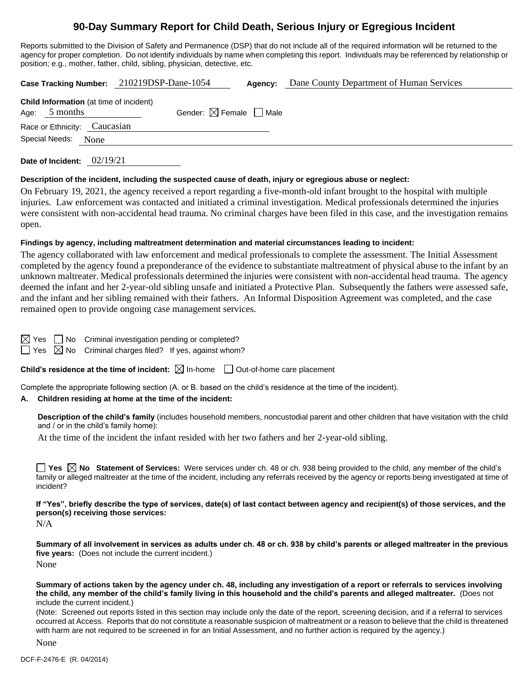# **90-Day Summary Report for Child Death, Serious Injury or Egregious Incident**

Reports submitted to the Division of Safety and Permanence (DSP) that do not include all of the required information will be returned to the agency for proper completion. Do not identify individuals by name when completing this report. Individuals may be referenced by relationship or position; e.g., mother, father, child, sibling, physician, detective, etc.

|                                                                   | Case Tracking Number: 210219DSP-Dane-1054 | Agency: | Dane County Department of Human Services |
|-------------------------------------------------------------------|-------------------------------------------|---------|------------------------------------------|
| <b>Child Information</b> (at time of incident)<br>Age: $5$ months | Gender: $\boxtimes$ Female $\Box$ Male    |         |                                          |
| Race or Ethnicity: Caucasian                                      |                                           |         |                                          |
| Special Needs: None                                               |                                           |         |                                          |
|                                                                   |                                           |         |                                          |

**Date of Incident:** 02/19/21

#### **Description of the incident, including the suspected cause of death, injury or egregious abuse or neglect:**

On February 19, 2021, the agency received a report regarding a five-month-old infant brought to the hospital with multiple injuries. Law enforcement was contacted and initiated a criminal investigation. Medical professionals determined the injuries were consistent with non-accidental head trauma. No criminal charges have been filed in this case, and the investigation remains open.

#### **Findings by agency, including maltreatment determination and material circumstances leading to incident:**

The agency collaborated with law enforcement and medical professionals to complete the assessment. The Initial Assessment completed by the agency found a preponderance of the evidence to substantiate maltreatment of physical abuse to the infant by an unknown maltreater. Medical professionals determined the injuries were consistent with non-accidental head trauma. The agency deemed the infant and her 2-year-old sibling unsafe and initiated a Protective Plan. Subsequently the fathers were assessed safe, and the infant and her sibling remained with their fathers. An Informal Disposition Agreement was completed, and the case remained open to provide ongoing case management services.

 $\blacksquare$  No Criminal investigation pending or completed?

 $\boxtimes$  No Criminal charges filed? If yes, against whom?

**Child's residence at the time of incident:**  $\boxtimes$  In-home  $\Box$  Out-of-home care placement

Complete the appropriate following section (A. or B. based on the child's residence at the time of the incident).

# **A. Children residing at home at the time of the incident:**

**Description of the child's family** (includes household members, noncustodial parent and other children that have visitation with the child and / or in the child's family home):

At the time of the incident the infant resided with her two fathers and her 2-year-old sibling.

**Yes No** Statement of Services: Were services under ch. 48 or ch. 938 being provided to the child, any member of the child's family or alleged maltreater at the time of the incident, including any referrals received by the agency or reports being investigated at time of incident?

**If "Yes", briefly describe the type of services, date(s) of last contact between agency and recipient(s) of those services, and the person(s) receiving those services:**

N/A

**Summary of all involvement in services as adults under ch. 48 or ch. 938 by child's parents or alleged maltreater in the previous five years:** (Does not include the current incident.) None

**Summary of actions taken by the agency under ch. 48, including any investigation of a report or referrals to services involving the child, any member of the child's family living in this household and the child's parents and alleged maltreater.** (Does not include the current incident.)

(Note: Screened out reports listed in this section may include only the date of the report, screening decision, and if a referral to services occurred at Access. Reports that do not constitute a reasonable suspicion of maltreatment or a reason to believe that the child is threatened with harm are not required to be screened in for an Initial Assessment, and no further action is required by the agency.)

None